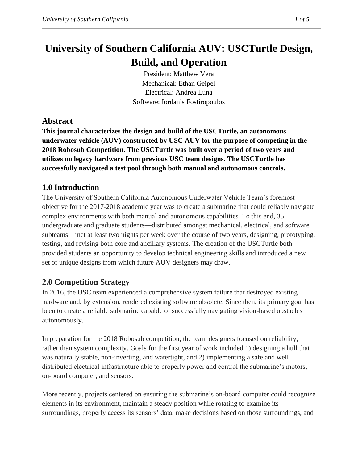# **University of Southern California AUV: USCTurtle Design, Build, and Operation**

President: Matthew Vera Mechanical: Ethan Geipel Electrical: Andrea Luna Software: Iordanis Fostiropoulos

# **Abstract**

**This journal characterizes the design and build of the USCTurtle, an autonomous underwater vehicle (AUV) constructed by USC AUV for the purpose of competing in the 2018 Robosub Competition. The USCTurtle was built over a period of two years and utilizes no legacy hardware from previous USC team designs. The USCTurtle has successfully navigated a test pool through both manual and autonomous controls.**

# **1.0 Introduction**

The University of Southern California Autonomous Underwater Vehicle Team's foremost objective for the 2017-2018 academic year was to create a submarine that could reliably navigate complex environments with both manual and autonomous capabilities. To this end, 35 undergraduate and graduate students—distributed amongst mechanical, electrical, and software subteams—met at least two nights per week over the course of two years, designing, prototyping, testing, and revising both core and ancillary systems. The creation of the USCTurtle both provided students an opportunity to develop technical engineering skills and introduced a new set of unique designs from which future AUV designers may draw.

## **2.0 Competition Strategy**

In 2016, the USC team experienced a comprehensive system failure that destroyed existing hardware and, by extension, rendered existing software obsolete. Since then, its primary goal has been to create a reliable submarine capable of successfully navigating vision-based obstacles autonomously.

In preparation for the 2018 Robosub competition, the team designers focused on reliability, rather than system complexity. Goals for the first year of work included 1) designing a hull that was naturally stable, non-inverting, and watertight, and 2) implementing a safe and well distributed electrical infrastructure able to properly power and control the submarine's motors, on-board computer, and sensors.

More recently, projects centered on ensuring the submarine's on-board computer could recognize elements in its environment, maintain a steady position while rotating to examine its surroundings, properly access its sensors' data, make decisions based on those surroundings, and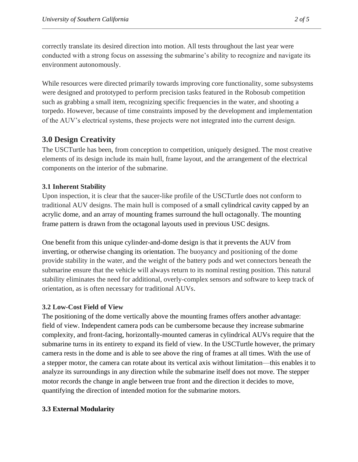correctly translate its desired direction into motion. All tests throughout the last year were conducted with a strong focus on assessing the submarine's ability to recognize and navigate its environment autonomously.

While resources were directed primarily towards improving core functionality, some subsystems were designed and prototyped to perform precision tasks featured in the Robosub competition such as grabbing a small item, recognizing specific frequencies in the water, and shooting a torpedo. However, because of time constraints imposed by the development and implementation of the AUV's electrical systems, these projects were not integrated into the current design.

## **3.0 Design Creativity**

The USCTurtle has been, from conception to competition, uniquely designed. The most creative elements of its design include its main hull, frame layout, and the arrangement of the electrical components on the interior of the submarine.

#### **3.1 Inherent Stability**

Upon inspection, it is clear that the saucer-like profile of the USCTurtle does not conform to traditional AUV designs. The main hull is composed of a small cylindrical cavity capped by an acrylic dome, and an array of mounting frames surround the hull octagonally. The mounting frame pattern is drawn from the octagonal layouts used in previous USC designs.

One benefit from this unique cylinder-and-dome design is that it prevents the AUV from inverting, or otherwise changing its orientation. The buoyancy and positioning of the dome provide stability in the water, and the weight of the battery pods and wet connectors beneath the submarine ensure that the vehicle will always return to its nominal resting position. This natural stability eliminates the need for additional, overly-complex sensors and software to keep track of orientation, as is often necessary for traditional AUVs.

## **3.2 Low-Cost Field of View**

The positioning of the dome vertically above the mounting frames offers another advantage: field of view. Independent camera pods can be cumbersome because they increase submarine complexity, and front-facing, horizontally-mounted cameras in cylindrical AUVs require that the submarine turns in its entirety to expand its field of view. In the USCTurtle however, the primary camera rests in the dome and is able to see above the ring of frames at all times. With the use of a stepper motor, the camera can rotate about its vertical axis without limitation—this enables it to analyze its surroundings in any direction while the submarine itself does not move. The stepper motor records the change in angle between true front and the direction it decides to move, quantifying the direction of intended motion for the submarine motors.

#### **3.3 External Modularity**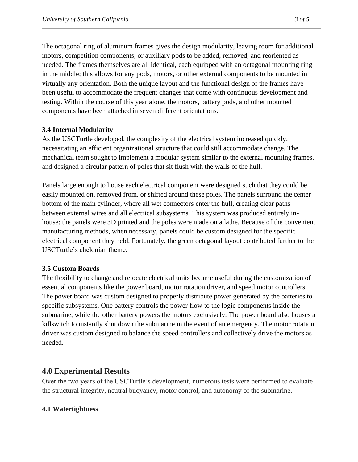The octagonal ring of aluminum frames gives the design modularity, leaving room for additional motors, competition components, or auxiliary pods to be added, removed, and reoriented as needed. The frames themselves are all identical, each equipped with an octagonal mounting ring in the middle; this allows for any pods, motors, or other external components to be mounted in virtually any orientation. Both the unique layout and the functional design of the frames have been useful to accommodate the frequent changes that come with continuous development and testing. Within the course of this year alone, the motors, battery pods, and other mounted components have been attached in seven different orientations.

#### **3.4 Internal Modularity**

As the USCTurtle developed, the complexity of the electrical system increased quickly, necessitating an efficient organizational structure that could still accommodate change. The mechanical team sought to implement a modular system similar to the external mounting frames, and designed a circular pattern of poles that sit flush with the walls of the hull.

Panels large enough to house each electrical component were designed such that they could be easily mounted on, removed from, or shifted around these poles. The panels surround the center bottom of the main cylinder, where all wet connectors enter the hull, creating clear paths between external wires and all electrical subsystems. This system was produced entirely inhouse: the panels were 3D printed and the poles were made on a lathe. Because of the convenient manufacturing methods, when necessary, panels could be custom designed for the specific electrical component they held. Fortunately, the green octagonal layout contributed further to the USCTurtle's chelonian theme.

#### **3.5 Custom Boards**

The flexibility to change and relocate electrical units became useful during the customization of essential components like the power board, motor rotation driver, and speed motor controllers. The power board was custom designed to properly distribute power generated by the batteries to specific subsystems. One battery controls the power flow to the logic components inside the submarine, while the other battery powers the motors exclusively. The power board also houses a killswitch to instantly shut down the submarine in the event of an emergency. The motor rotation driver was custom designed to balance the speed controllers and collectively drive the motors as needed.

## **4.0 Experimental Results**

Over the two years of the USCTurtle's development, numerous tests were performed to evaluate the structural integrity, neutral buoyancy, motor control, and autonomy of the submarine.

#### **4.1 Watertightness**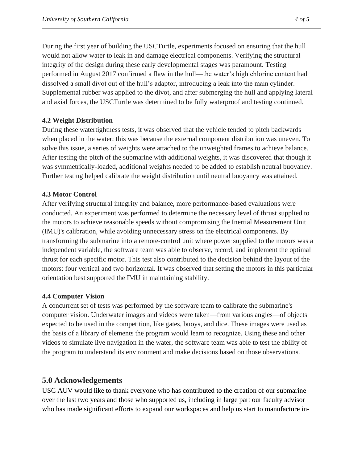During the first year of building the USCTurtle, experiments focused on ensuring that the hull would not allow water to leak in and damage electrical components. Verifying the structural integrity of the design during these early developmental stages was paramount. Testing performed in August 2017 confirmed a flaw in the hull—the water's high chlorine content had dissolved a small divot out of the hull's adaptor, introducing a leak into the main cylinder. Supplemental rubber was applied to the divot, and after submerging the hull and applying lateral and axial forces, the USCTurtle was determined to be fully waterproof and testing continued.

#### **4.2 Weight Distribution**

During these watertightness tests, it was observed that the vehicle tended to pitch backwards when placed in the water; this was because the external component distribution was uneven. To solve this issue, a series of weights were attached to the unweighted frames to achieve balance. After testing the pitch of the submarine with additional weights, it was discovered that though it was symmetrically-loaded, additional weights needed to be added to establish neutral buoyancy. Further testing helped calibrate the weight distribution until neutral buoyancy was attained.

#### **4.3 Motor Control**

After verifying structural integrity and balance, more performance-based evaluations were conducted. An experiment was performed to determine the necessary level of thrust supplied to the motors to achieve reasonable speeds without compromising the Inertial Measurement Unit (IMU)'s calibration, while avoiding unnecessary stress on the electrical components. By transforming the submarine into a remote-control unit where power supplied to the motors was a independent variable, the software team was able to observe, record, and implement the optimal thrust for each specific motor. This test also contributed to the decision behind the layout of the motors: four vertical and two horizontal. It was observed that setting the motors in this particular orientation best supported the IMU in maintaining stability.

#### **4.4 Computer Vision**

A concurrent set of tests was performed by the software team to calibrate the submarine's computer vision. Underwater images and videos were taken—from various angles—of objects expected to be used in the competition, like gates, buoys, and dice. These images were used as the basis of a library of elements the program would learn to recognize. Using these and other videos to simulate live navigation in the water, the software team was able to test the ability of the program to understand its environment and make decisions based on those observations.

## **5.0 Acknowledgements**

USC AUV would like to thank everyone who has contributed to the creation of our submarine over the last two years and those who supported us, including in large part our faculty advisor who has made significant efforts to expand our workspaces and help us start to manufacture in